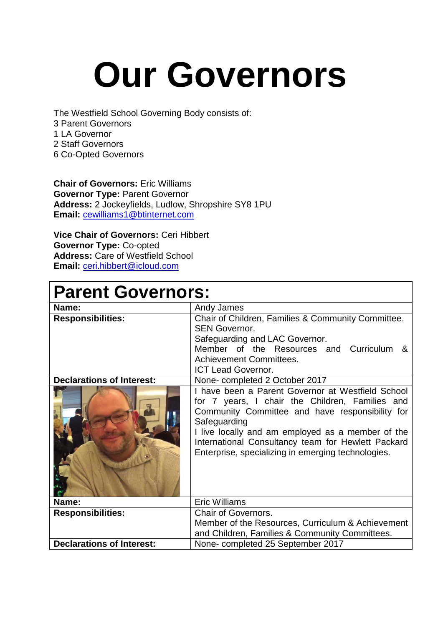## **Our Governors**

The Westfield School Governing Body consists of: 3 Parent Governors 1 LA Governor 2 Staff Governors 6 Co-Opted Governors

**Chair of Governors:** Eric Williams **Governor Type:** Parent Governor **Address:** 2 Jockeyfields, Ludlow, Shropshire SY8 1PU **Email:** [cewilliams1@btinternet.com](mailto:cewilliams1@btinternet.com)

**Vice Chair of Governors:** Ceri Hibbert **Governor Type:** Co-opted **Address:** Care of Westfield School **Email:** [ceri.hibbert@icloud.com](mailto:ceri.hibbert@icloud.com)

| <b>Parent Governors:</b>         |                                                                                                                                                                                                                                                                                                                                          |  |
|----------------------------------|------------------------------------------------------------------------------------------------------------------------------------------------------------------------------------------------------------------------------------------------------------------------------------------------------------------------------------------|--|
| Name:                            | Andy James                                                                                                                                                                                                                                                                                                                               |  |
| <b>Responsibilities:</b>         | Chair of Children, Families & Community Committee.<br><b>SEN Governor.</b><br>Safeguarding and LAC Governor.<br>Member of the Resources and Curriculum &<br><b>Achievement Committees.</b><br><b>ICT Lead Governor.</b>                                                                                                                  |  |
| <b>Declarations of Interest:</b> | None-completed 2 October 2017                                                                                                                                                                                                                                                                                                            |  |
|                                  | I have been a Parent Governor at Westfield School<br>for 7 years, I chair the Children, Families and<br>Community Committee and have responsibility for<br>Safeguarding<br>I live locally and am employed as a member of the<br>International Consultancy team for Hewlett Packard<br>Enterprise, specializing in emerging technologies. |  |
| Name:                            | <b>Eric Williams</b>                                                                                                                                                                                                                                                                                                                     |  |
| <b>Responsibilities:</b>         | <b>Chair of Governors.</b>                                                                                                                                                                                                                                                                                                               |  |
|                                  | Member of the Resources, Curriculum & Achievement                                                                                                                                                                                                                                                                                        |  |
|                                  | and Children, Families & Community Committees.                                                                                                                                                                                                                                                                                           |  |
| <b>Declarations of Interest:</b> | None- completed 25 September 2017                                                                                                                                                                                                                                                                                                        |  |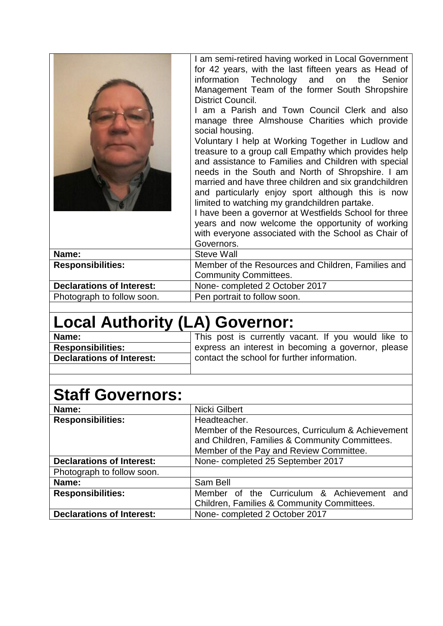|                                  | I am semi-retired having worked in Local Government<br>for 42 years, with the last fifteen years as Head of<br>information Technology and on the Senior<br>Management Team of the former South Shropshire<br>District Council.<br>I am a Parish and Town Council Clerk and also<br>manage three Almshouse Charities which provide<br>social housing.<br>Voluntary I help at Working Together in Ludlow and<br>treasure to a group call Empathy which provides help<br>and assistance to Families and Children with special<br>needs in the South and North of Shropshire. I am<br>married and have three children and six grandchildren<br>and particularly enjoy sport although this is now<br>limited to watching my grandchildren partake.<br>I have been a governor at Westfields School for three<br>years and now welcome the opportunity of working<br>with everyone associated with the School as Chair of<br>Governors. |
|----------------------------------|----------------------------------------------------------------------------------------------------------------------------------------------------------------------------------------------------------------------------------------------------------------------------------------------------------------------------------------------------------------------------------------------------------------------------------------------------------------------------------------------------------------------------------------------------------------------------------------------------------------------------------------------------------------------------------------------------------------------------------------------------------------------------------------------------------------------------------------------------------------------------------------------------------------------------------|
| Name:                            | <b>Steve Wall</b>                                                                                                                                                                                                                                                                                                                                                                                                                                                                                                                                                                                                                                                                                                                                                                                                                                                                                                                |
| <b>Responsibilities:</b>         | Member of the Resources and Children, Families and                                                                                                                                                                                                                                                                                                                                                                                                                                                                                                                                                                                                                                                                                                                                                                                                                                                                               |
|                                  | <b>Community Committees.</b>                                                                                                                                                                                                                                                                                                                                                                                                                                                                                                                                                                                                                                                                                                                                                                                                                                                                                                     |
| <b>Declarations of Interest:</b> | None-completed 2 October 2017                                                                                                                                                                                                                                                                                                                                                                                                                                                                                                                                                                                                                                                                                                                                                                                                                                                                                                    |
| Photograph to follow soon.       | Pen portrait to follow soon.                                                                                                                                                                                                                                                                                                                                                                                                                                                                                                                                                                                                                                                                                                                                                                                                                                                                                                     |

## **Local Authority (LA) Governor:**

| Name:                            | This post is currently vacant. If you would like to |
|----------------------------------|-----------------------------------------------------|
| <b>Responsibilities:</b>         | express an interest in becoming a governor, please  |
| <b>Declarations of Interest:</b> | contact the school for further information.         |
|                                  |                                                     |

## **Staff Governors:**

| Name:                            | Nicki Gilbert                                     |
|----------------------------------|---------------------------------------------------|
| <b>Responsibilities:</b>         | Headteacher.                                      |
|                                  | Member of the Resources, Curriculum & Achievement |
|                                  | and Children, Families & Community Committees.    |
|                                  | Member of the Pay and Review Committee.           |
| <b>Declarations of Interest:</b> | None-completed 25 September 2017                  |
| Photograph to follow soon.       |                                                   |
| Name:                            | Sam Bell                                          |
| <b>Responsibilities:</b>         | Member of the Curriculum & Achievement<br>and     |
|                                  | Children, Families & Community Committees.        |
| <b>Declarations of Interest:</b> | None-completed 2 October 2017                     |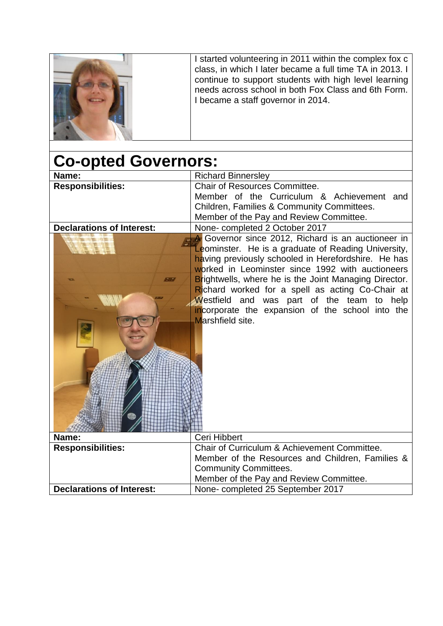|                            | I started volunteering in 2011 within the complex fox c<br>class, in which I later became a full time TA in 2013. I<br>continue to support students with high level learning<br>needs across school in both Fox Class and 6th Form.<br>I became a staff governor in 2014. |
|----------------------------|---------------------------------------------------------------------------------------------------------------------------------------------------------------------------------------------------------------------------------------------------------------------------|
| <b>Co-opted Governors:</b> |                                                                                                                                                                                                                                                                           |

| Name:                            | <b>Richard Binnersley</b>                                    |
|----------------------------------|--------------------------------------------------------------|
| <b>Responsibilities:</b>         | <b>Chair of Resources Committee.</b>                         |
|                                  | Member of the Curriculum & Achievement and                   |
|                                  | Children, Families & Community Committees.                   |
|                                  | Member of the Pay and Review Committee.                      |
| <b>Declarations of Interest:</b> | None-completed 2 October 2017                                |
|                                  | A Governor since 2012, Richard is an auctioneer in           |
|                                  | Leominster. He is a graduate of Reading University,          |
|                                  | having previously schooled in Herefordshire. He has          |
|                                  | worked in Leominster since 1992 with auctioneers             |
|                                  | <b>Brightwells, where he is the Joint Managing Director.</b> |
|                                  | Richard worked for a spell as acting Co-Chair at             |
|                                  | Westfield and was part of the team to help                   |
|                                  | incorporate the expansion of the school into the             |
|                                  | Marshfield site.                                             |
|                                  |                                                              |
|                                  |                                                              |
|                                  |                                                              |
|                                  |                                                              |
|                                  |                                                              |
|                                  |                                                              |
|                                  |                                                              |
|                                  |                                                              |
|                                  |                                                              |
|                                  |                                                              |
| Name:                            | Ceri Hibbert                                                 |
| <b>Responsibilities:</b>         | Chair of Curriculum & Achievement Committee.                 |
|                                  | Member of the Resources and Children, Families &             |
|                                  | <b>Community Committees.</b>                                 |
|                                  | Member of the Pay and Review Committee.                      |
| <b>Declarations of Interest:</b> | None- completed 25 September 2017                            |